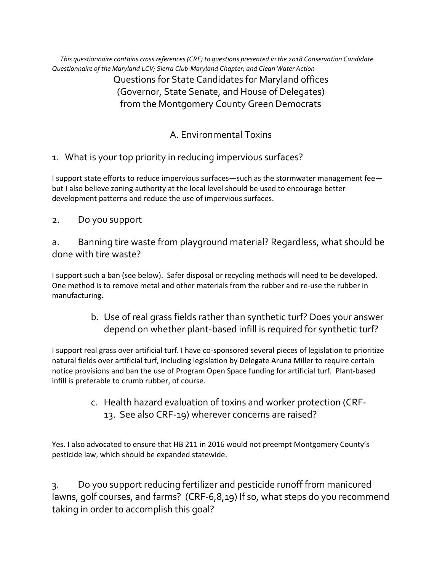*This questionnaire contains cross references (CRF) to questions presented in the 2018 Conservation Candidate Questionnaire of the Maryland LCV; Sierra Club-Maryland Chapter; and Clean Water Action* Questions for State Candidates for Maryland offices (Governor, State Senate, and House of Delegates) from the Montgomery County Green Democrats

# A. Environmental Toxins

1. What is your top priority in reducing impervious surfaces?

I support state efforts to reduce impervious surfaces—such as the stormwater management fee but I also believe zoning authority at the local level should be used to encourage better development patterns and reduce the use of impervious surfaces.

2. Do you support

a. Banning tire waste from playground material? Regardless, what should be done with tire waste?

I support such a ban (see below). Safer disposal or recycling methods will need to be developed. One method is to remove metal and other materials from the rubber and re-use the rubber in manufacturing.

> b. Use of real grass fields rather than synthetic turf? Does your answer depend on whether plant-based infill is required for synthetic turf?

I support real grass over artificial turf. I have co-sponsored several pieces of legislation to prioritize natural fields over artificial turf, including legislation by Delegate Aruna Miller to require certain notice provisions and ban the use of Program Open Space funding for artificial turf. Plant-based infill is preferable to crumb rubber, of course.

> c. Health hazard evaluation of toxins and worker protection (CRF-13. See also CRF-19) wherever concerns are raised?

Yes. I also advocated to ensure that HB 211 in 2016 would not preempt Montgomery County's pesticide law, which should be expanded statewide.

3. Do you support reducing fertilizer and pesticide runoff from manicured lawns, golf courses, and farms? (CRF-6,8,19) If so, what steps do you recommend taking in order to accomplish this goal?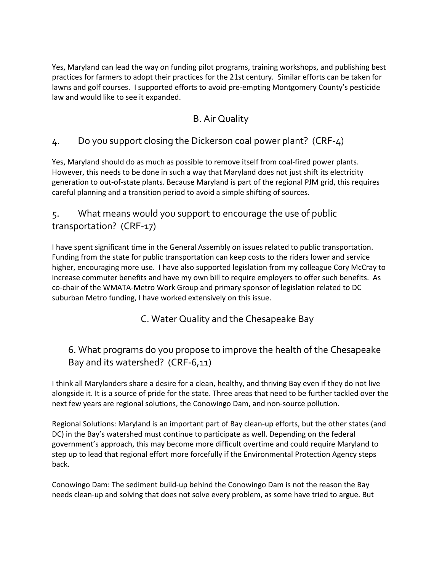Yes, Maryland can lead the way on funding pilot programs, training workshops, and publishing best practices for farmers to adopt their practices for the 21st century. Similar efforts can be taken for lawns and golf courses. I supported efforts to avoid pre-empting Montgomery County's pesticide law and would like to see it expanded.

#### B. Air Quality

#### 4. Do you support closing the Dickerson coal power plant? (CRF-4)

Yes, Maryland should do as much as possible to remove itself from coal-fired power plants. However, this needs to be done in such a way that Maryland does not just shift its electricity generation to out-of-state plants. Because Maryland is part of the regional PJM grid, this requires careful planning and a transition period to avoid a simple shifting of sources.

### 5. What means would you support to encourage the use of public transportation? (CRF-17)

I have spent significant time in the General Assembly on issues related to public transportation. Funding from the state for public transportation can keep costs to the riders lower and service higher, encouraging more use. I have also supported legislation from my colleague Cory McCray to increase commuter benefits and have my own bill to require employers to offer such benefits. As co-chair of the WMATA-Metro Work Group and primary sponsor of legislation related to DC suburban Metro funding, I have worked extensively on this issue.

C. Water Quality and the Chesapeake Bay

# 6. What programs do you propose to improve the health of the Chesapeake Bay and its watershed? (CRF-6,11)

I think all Marylanders share a desire for a clean, healthy, and thriving Bay even if they do not live alongside it. It is a source of pride for the state. Three areas that need to be further tackled over the next few years are regional solutions, the Conowingo Dam, and non-source pollution.

Regional Solutions: Maryland is an important part of Bay clean-up efforts, but the other states (and DC) in the Bay's watershed must continue to participate as well. Depending on the federal government's approach, this may become more difficult overtime and could require Maryland to step up to lead that regional effort more forcefully if the Environmental Protection Agency steps back.

Conowingo Dam: The sediment build-up behind the Conowingo Dam is not the reason the Bay needs clean-up and solving that does not solve every problem, as some have tried to argue. But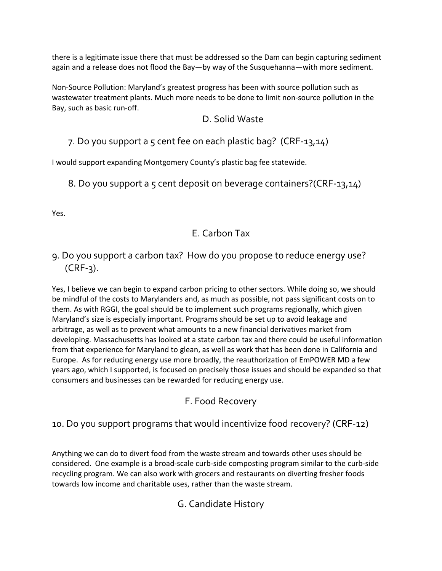there is a legitimate issue there that must be addressed so the Dam can begin capturing sediment again and a release does not flood the Bay—by way of the Susquehanna—with more sediment.

Non-Source Pollution: Maryland's greatest progress has been with source pollution such as wastewater treatment plants. Much more needs to be done to limit non-source pollution in the Bay, such as basic run-off.

#### D. Solid Waste

7. Do you support a 5 cent fee on each plastic bag? (CRF-13,14)

I would support expanding Montgomery County's plastic bag fee statewide.

8. Do you support a 5 cent deposit on beverage containers?(CRF-13,14)

Yes.

# E. Carbon Tax

# 9. Do you support a carbon tax? How do you propose to reduce energy use? (CRF-3).

Yes, I believe we can begin to expand carbon pricing to other sectors. While doing so, we should be mindful of the costs to Marylanders and, as much as possible, not pass significant costs on to them. As with RGGI, the goal should be to implement such programs regionally, which given Maryland's size is especially important. Programs should be set up to avoid leakage and arbitrage, as well as to prevent what amounts to a new financial derivatives market from developing. Massachusetts has looked at a state carbon tax and there could be useful information from that experience for Maryland to glean, as well as work that has been done in California and Europe. As for reducing energy use more broadly, the reauthorization of EmPOWER MD a few years ago, which I supported, is focused on precisely those issues and should be expanded so that consumers and businesses can be rewarded for reducing energy use.

# F. Food Recovery

# 10. Do you support programs that would incentivize food recovery? (CRF-12)

Anything we can do to divert food from the waste stream and towards other uses should be considered. One example is a broad-scale curb-side composting program similar to the curb-side recycling program. We can also work with grocers and restaurants on diverting fresher foods towards low income and charitable uses, rather than the waste stream.

# G. Candidate History